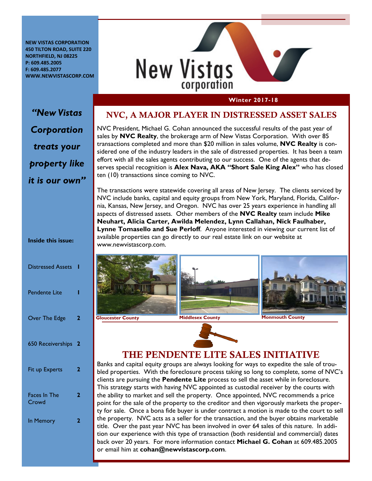**NEW VISTAS CORPORATION 450 TILTON ROAD, SUITE 220 NORTHFIELD, NJ 08225 P: 609.485.2005 F: 609.485.2077 WWW.NEWVISTASCORP.COM**



#### **Winter 2017-18**

# *"New Vistas Corporation treats your property like it is our own"*

**Inside this issue:** 

| <b>Distressed Assets</b>     | ı |
|------------------------------|---|
| <b>Pendente Lite</b>         | ı |
| Over The Edge                | 2 |
| 650 Receiverships            | 2 |
| Fit up Experts               | 2 |
| <b>Faces In The</b><br>Crowd | 2 |
| In Memory                    | 2 |
|                              |   |

#### NVC, A MAJOR PLAYER IN DISTRESSED ASSET SALES

NVC President, Michael G. Cohan announced the successful results of the past year of sales by **NVC Realty**, the brokerage arm of New Vistas Corporation. With over 85 transactions completed and more than \$20 million in sales volume, **NVC Realty** is considered one of the industry leaders in the sale of distressed properties. It has been a team effort with all the sales agents contributing to our success. One of the agents that deserves special recognition is **Alex Nava, AKA "Short Sale King Alex"** who has closed ten (10) transactions since coming to NVC.

The transactions were statewide covering all areas of New Jersey. The clients serviced by NVC include banks, capital and equity groups from New York, Maryland, Florida, California, Kansas, New Jersey, and Oregon. NVC has over 25 years experience in handling all aspects of distressed assets. Other members of the **NVC Realty** team include **Mike Neuhart, Alicia Carter, Awilda Melendez, Lynn Callahan, Nick Faulhaber, Lynne Tomasello and Sue Perloff**. Anyone interested in viewing our current list of available properties can go directly to our real estate link on our website at www.newvistascorp.com.









## THE PENDENTE LITE SALES INITIATIVE

Banks and capital equity groups are always looking for ways to expedite the sale of troubled properties. With the foreclosure process taking so long to complete, some of NVC's clients are pursuing the **Pendente Lite** process to sell the asset while in foreclosure. This strategy starts with having NVC appointed as custodial receiver by the courts with the ability to market and sell the property. Once appointed, NVC recommends a price point for the sale of the property to the creditor and then vigorously markets the property for sale. Once a bona fide buyer is under contract a motion is made to the court to sell the property. NVC acts as a seller for the transaction, and the buyer obtains marketable title. Over the past year NVC has been involved in over 64 sales of this nature. In addition our experience with this type of transaction (both residential and commercial) dates back over 20 years. For more information contact **Michael G. Cohan** at 609.485.2005 or email him at **cohan@newvistascorp.com**.